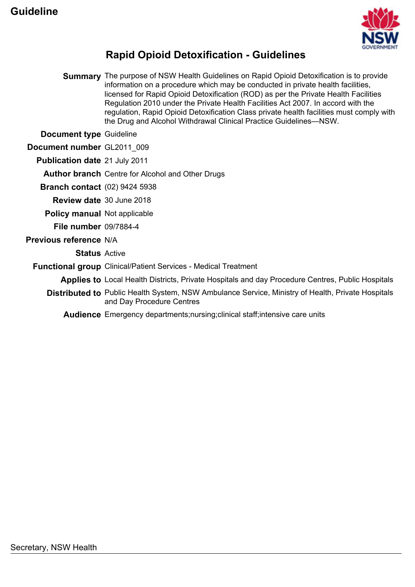

### **Rapid Opioid Detoxification - Guidelines**

**Summary** The purpose of NSW Health Guidelines on Rapid Opioid Detoxification is to provide information on a procedure which may be conducted in private health facilities, licensed for Rapid Opioid Detoxification (ROD) as per the Private Health Facilities Regulation 2010 under the Private Health Facilities Act 2007. In accord with the regulation, Rapid Opioid Detoxification Class private health facilities must comply with the Drug and Alcohol Withdrawal Clinical Practice Guidelines—NSW.

**Document type** Guideline

**Document number** GL2011\_009

**Publication date** 21 July 2011

**Author branch** Centre for Alcohol and Other Drugs

**Branch contact** (02) 9424 5938

**Review date** 30 June 2018

**Policy manual** Not applicable

**File number** 09/7884-4

#### **Previous reference** N/A

**Status** Active

**Functional group** Clinical/Patient Services - Medical Treatment

**Applies to** Local Health Districts, Private Hospitals and day Procedure Centres, Public Hospitals

**Distributed to** Public Health System, NSW Ambulance Service, Ministry of Health, Private Hospitals and Day Procedure Centres

**Audience** Emergency departments;nursing;clinical staff;intensive care units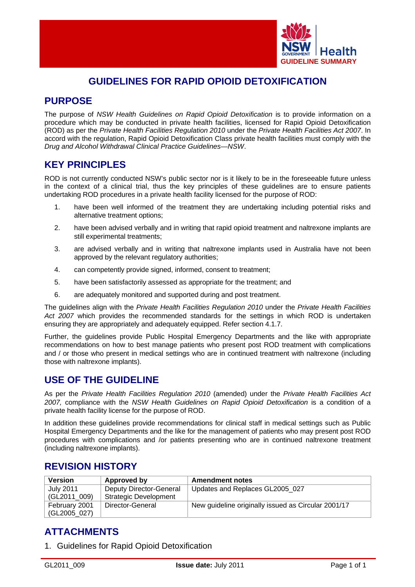

### **GUIDELINES FOR RAPID OPIOID DETOXIFICATION**

### **PURPOSE**

The purpose of *NSW Health Guidelines on Rapid Opioid Detoxification* is to provide information on a procedure which may be conducted in private health facilities, licensed for Rapid Opioid Detoxification (ROD) as per the *Private Health Facilities Regulation 2010* under the *Private Health Facilities Act 2007*. In accord with the regulation, Rapid Opioid Detoxification Class private health facilities must comply with the *Drug and Alcohol Withdrawal Clinical Practice Guidelines—NSW*.

### **KEY PRINCIPLES**

ROD is not currently conducted NSW's public sector nor is it likely to be in the foreseeable future unless in the context of a clinical trial, thus the key principles of these guidelines are to ensure patients undertaking ROD procedures in a private health facility licensed for the purpose of ROD:

- 1. have been well informed of the treatment they are undertaking including potential risks and alternative treatment options;
- 2. have been advised verbally and in writing that rapid opioid treatment and naltrexone implants are still experimental treatments;
- 3. are advised verbally and in writing that naltrexone implants used in Australia have not been approved by the relevant regulatory authorities;
- 4. can competently provide signed, informed, consent to treatment;
- 5. have been satisfactorily assessed as appropriate for the treatment; and
- 6. are adequately monitored and supported during and post treatment.

The guidelines align with the *Private Health Facilities Regulation 2010* under the *Private Health Facilities Act 2007* which provides the recommended standards for the settings in which ROD is undertaken ensuring they are appropriately and adequately equipped. Refer section 4.1.7.

Further, the guidelines provide Public Hospital Emergency Departments and the like with appropriate recommendations on how to best manage patients who present post ROD treatment with complications and / or those who present in medical settings who are in continued treatment with naltrexone (including those with naltrexone implants).

### **USE OF THE GUIDELINE**

As per the *Private Health Facilities Regulation 2010* (amended) under the *Private Health Facilities Act 2007,* compliance with the *NSW Health Guidelines on Rapid Opioid Detoxification* is a condition of a private health facility license for the purpose of ROD.

In addition these guidelines provide recommendations for clinical staff in medical settings such as Public Hospital Emergency Departments and the like for the management of patients who may present post ROD procedures with complications and /or patients presenting who are in continued naltrexone treatment (including naltrexone implants).

### **REVISION HISTORY**

| <b>Version</b> | Approved by             | <b>Amendment notes</b>                              |
|----------------|-------------------------|-----------------------------------------------------|
| July 2011      | Deputy Director-General | Updates and Replaces GL2005 027                     |
| (GL2011 009)   | Strategic Development   |                                                     |
| February 2001  | Director-General        | New guideline originally issued as Circular 2001/17 |
| (GL2005_027)   |                         |                                                     |

### **ATTACHMENTS**

1. Guidelines for Rapid Opioid Detoxification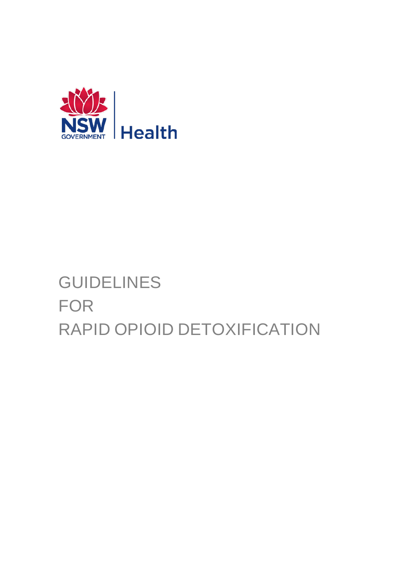

# GUIDELINES FOR RAPID OPIOID DETOXIFICATION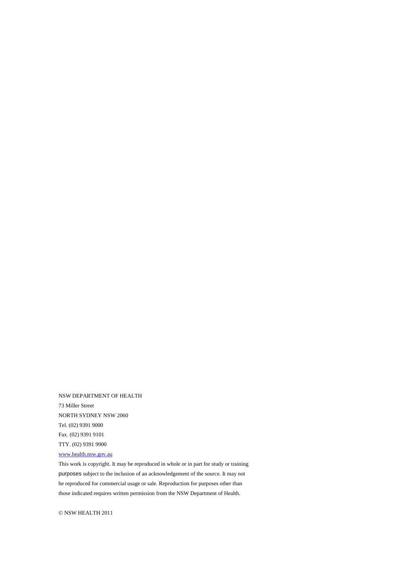NSW DEPARTMENT OF HEALTH 73 Miller Street NORTH SYDNEY NSW 2060 Tel. (02) 9391 9000 Fax. (02) 9391 9101 TTY. (02) 9391 9900

#### [www.health.nsw.gov.au](http://www.health.nsw.gov.au/)

This work is copyright. It may be reproduced in whole or in part for study or training purposes subject to the inclusion of an acknowledgement of the source. It may not be reproduced for commercial usage or sale. Reproduction for purposes other than those indicated requires written permission from the NSW Department of Health.

© NSW HEALTH 2011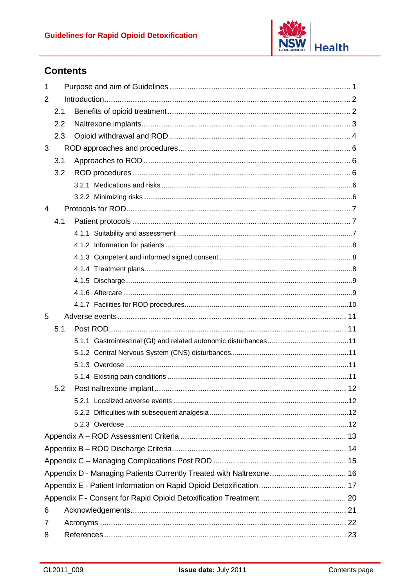

### **Contents**

| $\mathbf 1$    |     |  |  |
|----------------|-----|--|--|
| 2              |     |  |  |
|                | 2.1 |  |  |
|                | 2.2 |  |  |
|                | 2.3 |  |  |
| 3              |     |  |  |
|                | 3.1 |  |  |
|                | 3.2 |  |  |
|                |     |  |  |
|                |     |  |  |
| $\overline{4}$ |     |  |  |
|                | 4.1 |  |  |
|                |     |  |  |
|                |     |  |  |
|                |     |  |  |
|                |     |  |  |
|                |     |  |  |
|                |     |  |  |
|                |     |  |  |
| 5              |     |  |  |
|                | 5.1 |  |  |
|                |     |  |  |
|                |     |  |  |
|                |     |  |  |
|                |     |  |  |
|                | 5.2 |  |  |
|                |     |  |  |
|                |     |  |  |
|                |     |  |  |
|                |     |  |  |
|                |     |  |  |
|                |     |  |  |
|                |     |  |  |
|                |     |  |  |
|                |     |  |  |
|                |     |  |  |
| 6              |     |  |  |
| 7              |     |  |  |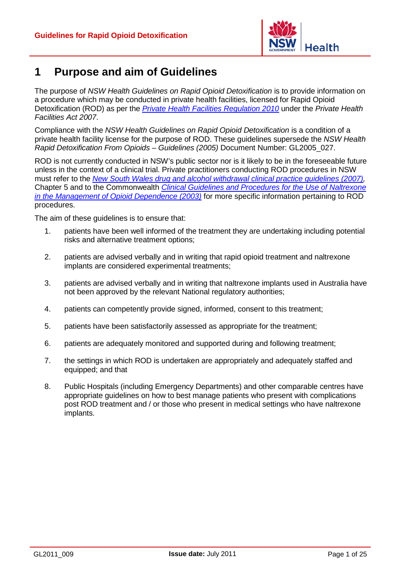

### <span id="page-5-0"></span>**1 Purpose and aim of Guidelines**

The purpose of *NSW Health Guidelines on Rapid Opioid Detoxification* is to provide information on a procedure which may be conducted in private health facilities, licensed for Rapid Opioid Detoxification (ROD) as per the *[Private Health Facilities Regulation 2010](http://www.legislation.nsw.gov.au/fullhtml/inforce/subordleg+64+2010+cd+0+N)* under the *Private Health Facilities Act 2007*.

Compliance with the *NSW Health Guidelines on Rapid Opioid Detoxification* is a condition of a private health facility license for the purpose of ROD. These guidelines supersede the *NSW Health Rapid Detoxification From Opioids – Guidelines (2005)* Document Number: GL2005\_027.

ROD is not currently conducted in NSW's public sector nor is it likely to be in the foreseeable future unless in the context of a clinical trial. Private practitioners conducting ROD procedures in NSW must refer to the *[New South Wales drug and alcohol withdrawal clinical practice guidelines](http://www.health.nsw.gov.au/policies/gl/2008/GL2008_011.html) (2007),*  Chapter 5 and to the Commonwealth *[Clinical Guidelines and Procedures for the Use of Naltrexone](http://www.nationaldrugstrategy.gov.au/internet/drugstrategy/publishing.nsf/Content/FA899A5C0CE4B391CA2575DF000E696B/$File/naltrex.pdf)  [in the Management of Opioid Dependence \(2003\)](http://www.nationaldrugstrategy.gov.au/internet/drugstrategy/publishing.nsf/Content/FA899A5C0CE4B391CA2575DF000E696B/$File/naltrex.pdf)* for more specific information pertaining to ROD procedures.

The aim of these guidelines is to ensure that:

- 1. patients have been well informed of the treatment they are undertaking including potential risks and alternative treatment options;
- 2. patients are advised verbally and in writing that rapid opioid treatment and naltrexone implants are considered experimental treatments;
- 3. patients are advised verbally and in writing that naltrexone implants used in Australia have not been approved by the relevant National regulatory authorities;
- 4. patients can competently provide signed, informed, consent to this treatment;
- 5. patients have been satisfactorily assessed as appropriate for the treatment;
- 6. patients are adequately monitored and supported during and following treatment;
- 7. the settings in which ROD is undertaken are appropriately and adequately staffed and equipped; and that
- 8. Public Hospitals (including Emergency Departments) and other comparable centres have appropriate guidelines on how to best manage patients who present with complications post ROD treatment and / or those who present in medical settings who have naltrexone implants.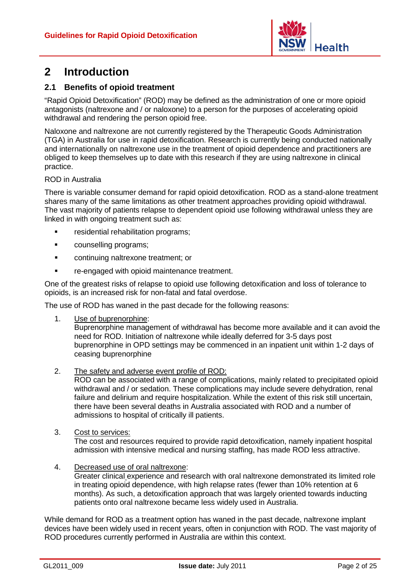

### <span id="page-6-0"></span>**2 Introduction**

#### <span id="page-6-1"></span>**2.1 Benefits of opioid treatment**

"Rapid Opioid Detoxification" (ROD) may be defined as the administration of one or more opioid antagonists (naltrexone and / or naloxone) to a person for the purposes of accelerating opioid withdrawal and rendering the person opioid free.

Naloxone and naltrexone are not currently registered by the Therapeutic Goods Administration (TGA) in Australia for use in rapid detoxification. Research is currently being conducted nationally and internationally on naltrexone use in the treatment of opioid dependence and practitioners are obliged to keep themselves up to date with this research if they are using naltrexone in clinical practice.

#### ROD in Australia

There is variable consumer demand for rapid opioid detoxification. ROD as a stand-alone treatment shares many of the same limitations as other treatment approaches providing opioid withdrawal. The vast majority of patients relapse to dependent opioid use following withdrawal unless they are linked in with ongoing treatment such as:

- **Fig.** residential rehabilitation programs;
- counselling programs;
- **EXECONTERT** continuing naltrexone treatment; or
- **F** re-engaged with opioid maintenance treatment.

One of the greatest risks of relapse to opioid use following detoxification and loss of tolerance to opioids, is an increased risk for non-fatal and fatal overdose.

The use of ROD has waned in the past decade for the following reasons:

1. Use of buprenorphine:

Buprenorphine management of withdrawal has become more available and it can avoid the need for ROD. Initiation of naltrexone while ideally deferred for 3-5 days post buprenorphine in OPD settings may be commenced in an inpatient unit within 1-2 days of ceasing buprenorphine

2. The safety and adverse event profile of ROD:

ROD can be associated with a range of complications, mainly related to precipitated opioid withdrawal and / or sedation. These complications may include severe dehydration, renal failure and delirium and require hospitalization. While the extent of this risk still uncertain, there have been several deaths in Australia associated with ROD and a number of admissions to hospital of critically ill patients.

3. Cost to services:

The cost and resources required to provide rapid detoxification, namely inpatient hospital admission with intensive medical and nursing staffing, has made ROD less attractive.

4. Decreased use of oral naltrexone:

> Greater clinical experience and research with oral naltrexone demonstrated its limited role in treating opioid dependence, with high relapse rates (fewer than 10% retention at 6 months). As such, a detoxification approach that was largely oriented towards inducting patients onto oral naltrexone became less widely used in Australia.

While demand for ROD as a treatment option has waned in the past decade, naltrexone implant devices have been widely used in recent years, often in conjunction with ROD. The vast majority of ROD procedures currently performed in Australia are within this context.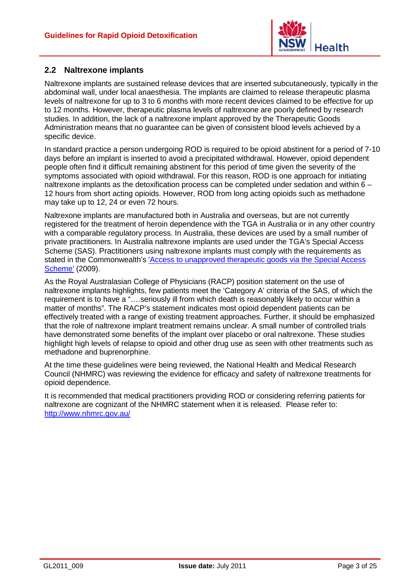

#### <span id="page-7-0"></span>**2.2 Naltrexone implants**

Naltrexone implants are sustained release devices that are inserted subcutaneously, typically in the abdominal wall, under local anaesthesia. The implants are claimed to release therapeutic plasma levels of naltrexone for up to 3 to 6 months with more recent devices claimed to be effective for up to 12 months. However, therapeutic plasma levels of naltrexone are poorly defined by research studies. In addition, the lack of a naltrexone implant approved by the Therapeutic Goods Administration means that no guarantee can be given of consistent blood levels achieved by a specific device.

In standard practice a person undergoing ROD is required to be opioid abstinent for a period of 7-10 days before an implant is inserted to avoid a precipitated withdrawal. However, opioid dependent people often find it difficult remaining abstinent for this period of time given the severity of the symptoms associated with opioid withdrawal. For this reason, ROD is one approach for initiating naltrexone implants as the detoxification process can be completed under sedation and within 6 – 12 hours from short acting opioids. However, ROD from long acting opioids such as methadone may take up to 12, 24 or even 72 hours.

Naltrexone implants are manufactured both in Australia and overseas, but are not currently registered for the treatment of heroin dependence with the TGA in Australia or in any other country with a comparable regulatory process. In Australia, these devices are used by a small number of private practitioners. In Australia naltrexone implants are used under the TGA's Special Access Scheme (SAS). Practitioners using naltrexone implants must comply with the requirements as stated in the Commonwealth's ['Access to unapproved therapeutic goods via the Special Access](http://www.tga.gov.au/hp/access-sas.htm)  [Scheme'](http://www.tga.gov.au/hp/access-sas.htm) (2009).

As the Royal Australasian College of Physicians (RACP) position statement on the use of naltrexone implants highlights, few patients meet the 'Category A' criteria of the SAS, of which the requirement is to have a "….seriously ill from which death is reasonably likely to occur within a matter of months". The RACP's statement indicates most opioid dependent patients can be effectively treated with a range of existing treatment approaches. Further, it should be emphasized that the role of naltrexone implant treatment remains unclear. A small number of controlled trials have demonstrated some benefits of the implant over placebo or oral naltrexone. These studies highlight high levels of relapse to opioid and other drug use as seen with other treatments such as methadone and buprenorphine.

At the time these guidelines were being reviewed, the National Health and Medical Research Council (NHMRC) was reviewing the evidence for efficacy and safety of naltrexone treatments for opioid dependence.

It is recommended that medical practitioners providing ROD or considering referring patients for naltrexone are cognizant of the NHMRC statement when it is released. Please refer to: <http://www.nhmrc.gov.au/>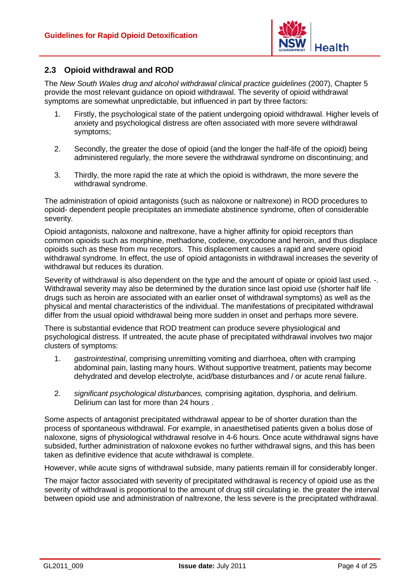

#### <span id="page-8-0"></span>**2.3 Opioid withdrawal and ROD**

The *New South Wales drug and alcohol withdrawal clinical practice guidelines* (2007), Chapter 5 provide the most relevant guidance on opioid withdrawal. The severity of opioid withdrawal symptoms are somewhat unpredictable, but influenced in part by three factors:

- 1. Firstly, the psychological state of the patient undergoing opioid withdrawal. Higher levels of anxiety and psychological distress are often associated with more severe withdrawal symptoms;
- 2. Secondly, the greater the dose of opioid (and the longer the half-life of the opioid) being administered regularly, the more severe the withdrawal syndrome on discontinuing; and
- 3. Thirdly, the more rapid the rate at which the opioid is withdrawn, the more severe the withdrawal syndrome.

The administration of opioid antagonists (such as naloxone or naltrexone) in ROD procedures to opioid- dependent people precipitates an immediate abstinence syndrome, often of considerable severity.

Opioid antagonists, naloxone and naltrexone, have a higher affinity for opioid receptors than common opioids such as morphine, methadone, codeine, oxycodone and heroin, and thus displace opioids such as these from mu receptors. This displacement causes a rapid and severe opioid withdrawal syndrome. In effect, the use of opioid antagonists in withdrawal increases the severity of withdrawal but reduces its duration.

Severity of withdrawal is also dependent on the type and the amount of opiate or opioid last used. -. Withdrawal severity may also be determined by the duration since last opioid use (shorter half life drugs such as heroin are associated with an earlier onset of withdrawal symptoms) as well as the physical and mental characteristics of the individual. The manifestations of precipitated withdrawal differ from the usual opioid withdrawal being more sudden in onset and perhaps more severe.

There is substantial evidence that ROD treatment can produce severe physiological and psychological distress. If untreated, the acute phase of precipitated withdrawal involves two major clusters of symptoms:

- 1. *gastrointestinal*, comprising unremitting vomiting and diarrhoea, often with cramping abdominal pain, lasting many hours. Without supportive treatment, patients may become dehydrated and develop electrolyte, acid/base disturbances and / or acute renal failure.
- 2. *significant psychological disturbances,* comprising agitation, dysphoria, and delirium. Delirium can last for more than 24 hours .

Some aspects of antagonist precipitated withdrawal appear to be of shorter duration than the process of spontaneous withdrawal. For example, in anaesthetised patients given a bolus dose of naloxone, signs of physiological withdrawal resolve in 4-6 hours. Once acute withdrawal signs have subsided, further administration of naloxone evokes no further withdrawal signs, and this has been taken as definitive evidence that acute withdrawal is complete.

However, while acute signs of withdrawal subside, many patients remain ill for considerably longer.

The major factor associated with severity of precipitated withdrawal is recency of opioid use as the severity of withdrawal is proportional to the amount of drug still circulating ie. the greater the interval between opioid use and administration of naltrexone, the less severe is the precipitated withdrawal.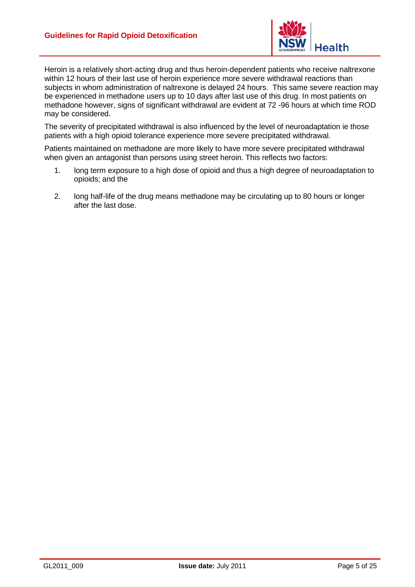

Heroin is a relatively short-acting drug and thus heroin-dependent patients who receive naltrexone within 12 hours of their last use of heroin experience more severe withdrawal reactions than subjects in whom administration of naltrexone is delayed 24 hours. This same severe reaction may be experienced in methadone users up to 10 days after last use of this drug. In most patients on methadone however, signs of significant withdrawal are evident at 72 -96 hours at which time ROD may be considered.

The severity of precipitated withdrawal is also influenced by the level of neuroadaptation ie those patients with a high opioid tolerance experience more severe precipitated withdrawal.

Patients maintained on methadone are more likely to have more severe precipitated withdrawal when given an antagonist than persons using street heroin. This reflects two factors:

- 1. long term exposure to a high dose of opioid and thus a high degree of neuroadaptation to opioids; and the
- 2. long half-life of the drug means methadone may be circulating up to 80 hours or longer after the last dose.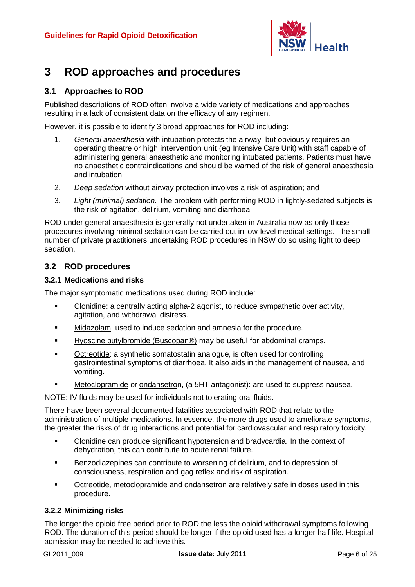

### <span id="page-10-0"></span>**3 ROD approaches and procedures**

#### <span id="page-10-1"></span>**3.1 Approaches to ROD**

Published descriptions of ROD often involve a wide variety of medications and approaches resulting in a lack of consistent data on the efficacy of any regimen.

However, it is possible to identify 3 broad approaches for ROD including:

- 1. *General anaesthesia* with intubation protects the airway, but obviously requires an operating theatre or high intervention unit (eg Intensive Care Unit) with staff capable of administering general anaesthetic and monitoring intubated patients. Patients must have no anaesthetic contraindications and should be warned of the risk of general anaesthesia and intubation.
- 2. *Deep sedation* without airway protection involves a risk of aspiration; and
- 3. *Light (minimal) sedation*. The problem with performing ROD in lightly-sedated subjects is the risk of agitation, delirium, vomiting and diarrhoea.

ROD under general anaesthesia is generally not undertaken in Australia now as only those procedures involving minimal sedation can be carried out in low-level medical settings. The small number of private practitioners undertaking ROD procedures in NSW do so using light to deep sedation.

#### <span id="page-10-2"></span>**3.2 ROD procedures**

#### <span id="page-10-3"></span>**3.2.1 Medications and risks**

The major symptomatic medications used during ROD include:

- Clonidine: a centrally acting alpha-2 agonist, to reduce sympathetic over activity, agitation, and withdrawal distress.
- . Midazolam: used to induce sedation and amnesia for the procedure.
- . Hyoscine butylbromide (Buscopan®) may be useful for abdominal cramps.
- $\blacksquare$ Octreotide: a synthetic somatostatin analogue, is often used for controlling gastrointestinal symptoms of diarrhoea. It also aids in the management of nausea, and vomiting.
- . Metoclopramide or ondansetron, (a 5HT antagonist): are used to suppress nausea.

NOTE: IV fluids may be used for individuals not tolerating oral fluids.

There have been several documented fatalities associated with ROD that relate to the administration of multiple medications. In essence, the more drugs used to ameliorate symptoms, the greater the risks of drug interactions and potential for cardiovascular and respiratory toxicity.

- Clonidine can produce significant hypotension and bradycardia. In the context of dehydration, this can contribute to acute renal failure.
- Benzodiazepines can contribute to worsening of delirium, and to depression of consciousness, respiration and gag reflex and risk of aspiration.
- Octreotide, metoclopramide and ondansetron are relatively safe in doses used in this procedure.

#### <span id="page-10-4"></span>**3.2.2 Minimizing risks**

The longer the opioid free period prior to ROD the less the opioid withdrawal symptoms following ROD. The duration of this period should be longer if the opioid used has a longer half life. Hospital admission may be needed to achieve this.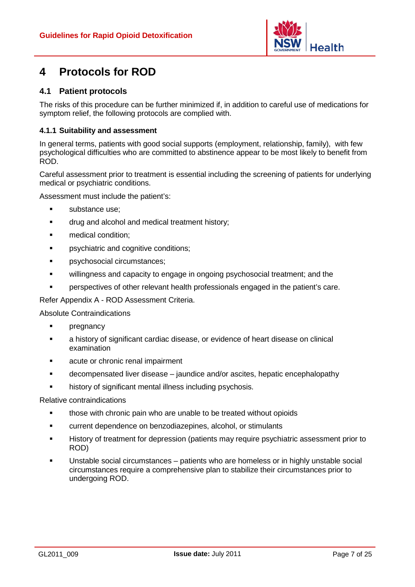

### <span id="page-11-0"></span>**4 Protocols for ROD**

#### <span id="page-11-1"></span>**4.1 Patient protocols**

The risks of this procedure can be further minimized if, in addition to careful use of medications for symptom relief, the following protocols are complied with.

#### <span id="page-11-2"></span>**4.1.1 Suitability and assessment**

In general terms, patients with good social supports (employment, relationship, family), with few psychological difficulties who are committed to abstinence appear to be most likely to benefit from ROD.

Careful assessment prior to treatment is essential including the screening of patients for underlying medical or psychiatric conditions.

Assessment must include the patient's:

- **substance use:**
- **The drug and alcohol and medical treatment history;**
- **n** medical condition:
- **•** psychiatric and cognitive conditions:
- **•** psychosocial circumstances;
- **•** willingness and capacity to engage in ongoing psychosocial treatment; and the
- perspectives of other relevant health professionals engaged in the patient's care.

#### Refer Appendix A - ROD Assessment Criteria.

#### Absolute Contraindications

- **•** pregnancy
- a history of significant cardiac disease, or evidence of heart disease on clinical examination
- acute or chronic renal impairment
- decompensated liver disease jaundice and/or ascites, hepatic encephalopathy
- history of significant mental illness including psychosis.

#### Relative contraindications

- those with chronic pain who are unable to be treated without opioids
- **EXECUTE:** current dependence on benzodiazepines, alcohol, or stimulants
- History of treatment for depression (patients may require psychiatric assessment prior to ROD)
- Unstable social circumstances patients who are homeless or in highly unstable social circumstances require a comprehensive plan to stabilize their circumstances prior to undergoing ROD.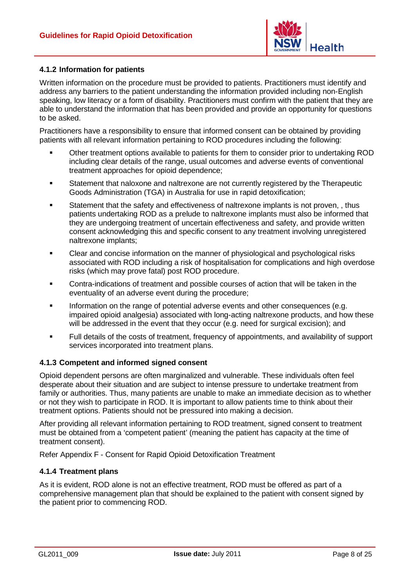

#### <span id="page-12-0"></span>**4.1.2 Information for patients**

Written information on the procedure must be provided to patients. Practitioners must identify and address any barriers to the patient understanding the information provided including non-English speaking, low literacy or a form of disability. Practitioners must confirm with the patient that they are able to understand the information that has been provided and provide an opportunity for questions to be asked.

Practitioners have a responsibility to ensure that informed consent can be obtained by providing patients with all relevant information pertaining to ROD procedures including the following:

- Other treatment options available to patients for them to consider prior to undertaking ROD including clear details of the range, usual outcomes and adverse events of conventional treatment approaches for opioid dependence;
- Statement that naloxone and naltrexone are not currently registered by the Therapeutic Goods Administration (TGA) in Australia for use in rapid detoxification;
- Statement that the safety and effectiveness of naltrexone implants is not proven, , thus patients undertaking ROD as a prelude to naltrexone implants must also be informed that they are undergoing treatment of uncertain effectiveness and safety, and provide written consent acknowledging this and specific consent to any treatment involving unregistered naltrexone implants;
- Clear and concise information on the manner of physiological and psychological risks associated with ROD including a risk of hospitalisation for complications and high overdose risks (which may prove fatal) post ROD procedure.
- Contra-indications of treatment and possible courses of action that will be taken in the eventuality of an adverse event during the procedure;
- Information on the range of potential adverse events and other consequences (e.g. impaired opioid analgesia) associated with long-acting naltrexone products, and how these will be addressed in the event that they occur (e.g. need for surgical excision); and
- Full details of the costs of treatment, frequency of appointments, and availability of support services incorporated into treatment plans.

#### <span id="page-12-1"></span>**4.1.3 Competent and informed signed consent**

Opioid dependent persons are often marginalized and vulnerable. These individuals often feel desperate about their situation and are subject to intense pressure to undertake treatment from family or authorities. Thus, many patients are unable to make an immediate decision as to whether or not they wish to participate in ROD. It is important to allow patients time to think about their treatment options. Patients should not be pressured into making a decision.

After providing all relevant information pertaining to ROD treatment, signed consent to treatment must be obtained from a 'competent patient' (meaning the patient has capacity at the time of treatment consent).

Refer Appendix F - [Consent for Rapid Opioid Detoxification Treatment](#page-24-0)

#### <span id="page-12-2"></span>**4.1.4 Treatment plans**

As it is evident, ROD alone is not an effective treatment, ROD must be offered as part of a comprehensive management plan that should be explained to the patient with consent signed by the patient prior to commencing ROD.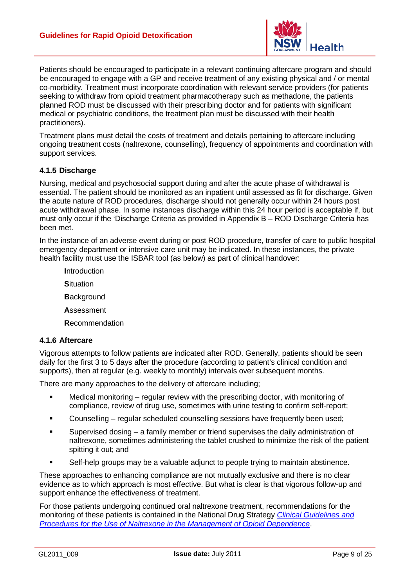

Patients should be encouraged to participate in a relevant continuing aftercare program and should be encouraged to engage with a GP and receive treatment of any existing physical and / or mental co-morbidity. Treatment must incorporate coordination with relevant service providers (for patients seeking to withdraw from opioid treatment pharmacotherapy such as methadone, the patients planned ROD must be discussed with their prescribing doctor and for patients with significant medical or psychiatric conditions, the treatment plan must be discussed with their health practitioners).

Treatment plans must detail the costs of treatment and details pertaining to aftercare including ongoing treatment costs (naltrexone, counselling), frequency of appointments and coordination with support services.

#### <span id="page-13-0"></span>**4.1.5 Discharge**

Nursing, medical and psychosocial support during and after the acute phase of withdrawal is essential. The patient should be monitored as an inpatient until assessed as fit for discharge. Given the acute nature of ROD procedures, discharge should not generally occur within 24 hours post acute withdrawal phase. In some instances discharge within this 24 hour period is acceptable if, but must only occur if the 'Discharge Criteria as provided in Appendix B – [ROD Discharge](#page-18-0) Criteria has been met.

In the instance of an adverse event during or post ROD procedure, transfer of care to public hospital emergency department or intensive care unit may be indicated. In these instances, the private health facility must use the ISBAR tool (as below) as part of clinical handover:

- **I**ntroduction **S**ituation
- **B**ackground
- **A**ssessment
- **R**ecommendation

#### <span id="page-13-1"></span>**4.1.6 Aftercare**

Vigorous attempts to follow patients are indicated after ROD. Generally, patients should be seen daily for the first 3 to 5 days after the procedure (according to patient's clinical condition and supports), then at regular (e.g. weekly to monthly) intervals over subsequent months.

There are many approaches to the delivery of aftercare including;

- Medical monitoring regular review with the prescribing doctor, with monitoring of compliance, review of drug use, sometimes with urine testing to confirm self-report;
- Counselling regular scheduled counselling sessions have frequently been used;
- Supervised dosing a family member or friend supervises the daily administration of naltrexone, sometimes administering the tablet crushed to minimize the risk of the patient spitting it out; and
- Self-help groups may be a valuable adjunct to people trying to maintain abstinence.

These approaches to enhancing compliance are not mutually exclusive and there is no clear evidence as to which approach is most effective. But what is clear is that vigorous follow-up and support enhance the effectiveness of treatment.

For those patients undergoing continued oral naltrexone treatment, recommendations for the monitoring of these patients is contained in the National Drug Strategy *[Clinical Guidelines and](http://www.nationaldrugstrategy.gov.au/internet/drugstrategy/Publishing.nsf/content/FA899A5C0CE4B391CA2575DF000E696B/$File/naltrex.pdf)  [Procedures for the Use of Naltrexone in the Management of Opioid Dependence](http://www.nationaldrugstrategy.gov.au/internet/drugstrategy/Publishing.nsf/content/FA899A5C0CE4B391CA2575DF000E696B/$File/naltrex.pdf)*.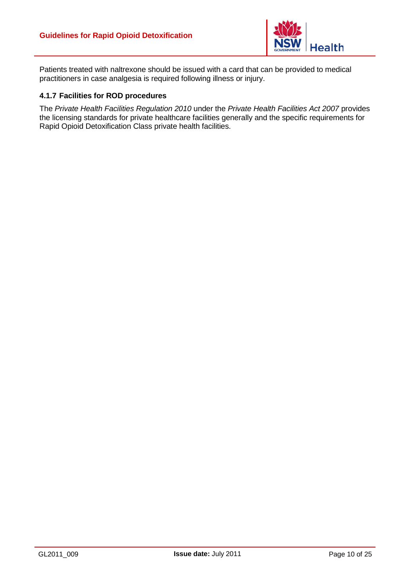

Patients treated with naltrexone should be issued with a card that can be provided to medical practitioners in case analgesia is required following illness or injury.

#### <span id="page-14-0"></span>**4.1.7 Facilities for ROD procedures**

The *[Private Health Facilities Regulation 2010](http://www.health.nsw.gov.au/hospitals/phc/)* under the *Private Health Facilities Act 2007* provides the licensing standards for private healthcare facilities generally and the specific requirements for Rapid Opioid Detoxification Class private health facilities.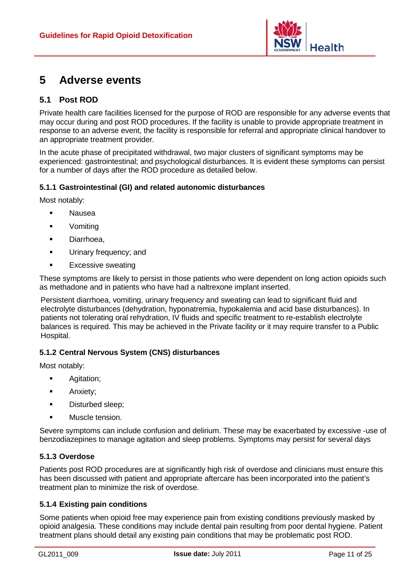

### <span id="page-15-0"></span>**5 Adverse events**

#### <span id="page-15-1"></span>**5.1 Post ROD**

Private health care facilities licensed for the purpose of ROD are responsible for any adverse events that may occur during and post ROD procedures. If the facility is unable to provide appropriate treatment in response to an adverse event, the facility is responsible for referral and appropriate clinical handover to an appropriate treatment provider.

In the acute phase of precipitated withdrawal, two major clusters of significant symptoms may be experienced: gastrointestinal; and psychological disturbances. It is evident these symptoms can persist for a number of days after the ROD procedure as detailed below.

#### <span id="page-15-2"></span>**5.1.1 Gastrointestinal (GI) and related autonomic disturbances**

Most notably:

- Nausea
- Vomiting
- **Diarrhoea,**
- **Urinary frequency; and**
- **Excessive sweating**

These symptoms are likely to persist in those patients who were dependent on long action opioids such as methadone and in patients who have had a naltrexone implant inserted.

Persistent diarrhoea, vomiting, urinary frequency and sweating can lead to significant fluid and electrolyte disturbances (dehydration, hyponatremia, hypokalemia and acid base disturbances). In patients not tolerating oral rehydration, IV fluids and specific treatment to re-establish electrolyte balances is required. This may be achieved in the Private facility or it may require transfer to a Public Hospital.

#### <span id="page-15-3"></span>**5.1.2 Central Nervous System (CNS) disturbances**

Most notably:

- **Agitation;**
- **Anxiety;**
- **•** Disturbed sleep;
- Muscle tension.

Severe symptoms can include confusion and delirium. These may be exacerbated by excessive -use of benzodiazepines to manage agitation and sleep problems. Symptoms may persist for several days

#### <span id="page-15-4"></span>**5.1.3 Overdose**

Patients post ROD procedures are at significantly high risk of overdose and clinicians must ensure this has been discussed with patient and appropriate aftercare has been incorporated into the patient's treatment plan to minimize the risk of overdose.

#### <span id="page-15-5"></span>**5.1.4 Existing pain conditions**

Some patients when opioid free may experience pain from existing conditions previously masked by opioid analgesia. These conditions may include dental pain resulting from poor dental hygiene. Patient treatment plans should detail any existing pain conditions that may be problematic post ROD.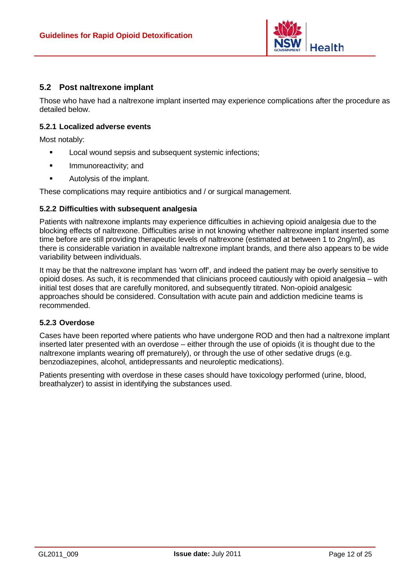

#### <span id="page-16-0"></span>**5.2 Post naltrexone implant**

Those who have had a naltrexone implant inserted may experience complications after the procedure as detailed below.

#### <span id="page-16-1"></span>**5.2.1 Localized adverse events**

Most notably:

- **Local wound sepsis and subsequent systemic infections;**
- **Immunoreactivity; and**
- **Autolysis of the implant.**

These complications may require antibiotics and / or surgical management.

#### <span id="page-16-2"></span>**5.2.2 Difficulties with subsequent analgesia**

Patients with naltrexone implants may experience difficulties in achieving opioid analgesia due to the blocking effects of naltrexone. Difficulties arise in not knowing whether naltrexone implant inserted some time before are still providing therapeutic levels of naltrexone (estimated at between 1 to 2ng/ml), as there is considerable variation in available naltrexone implant brands, and there also appears to be wide variability between individuals.

It may be that the naltrexone implant has 'worn off', and indeed the patient may be overly sensitive to opioid doses. As such, it is recommended that clinicians proceed cautiously with opioid analgesia – with initial test doses that are carefully monitored, and subsequently titrated. Non-opioid analgesic approaches should be considered. Consultation with acute pain and addiction medicine teams is recommended.

#### <span id="page-16-3"></span>**5.2.3 Overdose**

Cases have been reported where patients who have undergone ROD and then had a naltrexone implant inserted later presented with an overdose – either through the use of opioids (it is thought due to the naltrexone implants wearing off prematurely), or through the use of other sedative drugs (e.g. benzodiazepines, alcohol, antidepressants and neuroleptic medications).

Patients presenting with overdose in these cases should have toxicology performed (urine, blood, breathalyzer) to assist in identifying the substances used.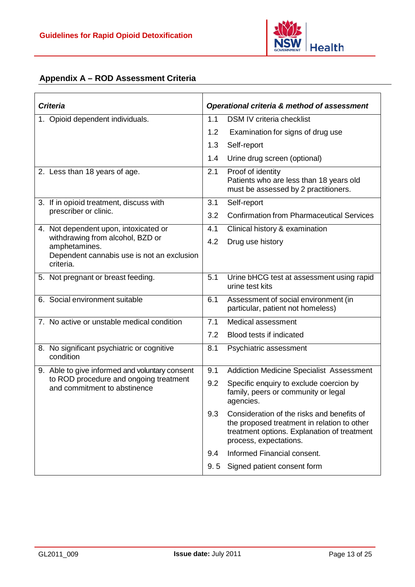

#### <span id="page-17-0"></span>**Appendix A – ROD Assessment Criteria**

| <b>Criteria</b>                                                                                              | <b>Operational criteria &amp; method of assessment</b>                                                                                                                    |  |
|--------------------------------------------------------------------------------------------------------------|---------------------------------------------------------------------------------------------------------------------------------------------------------------------------|--|
| 1. Opioid dependent individuals.                                                                             | 1.1<br><b>DSM IV criteria checklist</b>                                                                                                                                   |  |
|                                                                                                              | 1.2<br>Examination for signs of drug use                                                                                                                                  |  |
|                                                                                                              | 1.3<br>Self-report                                                                                                                                                        |  |
|                                                                                                              | 1.4<br>Urine drug screen (optional)                                                                                                                                       |  |
| 2. Less than 18 years of age.                                                                                | 2.1<br>Proof of identity<br>Patients who are less than 18 years old<br>must be assessed by 2 practitioners.                                                               |  |
| 3. If in opioid treatment, discuss with                                                                      | 3.1<br>Self-report                                                                                                                                                        |  |
| prescriber or clinic.                                                                                        | 3.2<br><b>Confirmation from Pharmaceutical Services</b>                                                                                                                   |  |
| 4. Not dependent upon, intoxicated or                                                                        | 4.1<br>Clinical history & examination                                                                                                                                     |  |
| withdrawing from alcohol, BZD or<br>amphetamines.<br>Dependent cannabis use is not an exclusion<br>criteria. | 4.2<br>Drug use history                                                                                                                                                   |  |
| 5. Not pregnant or breast feeding.                                                                           | 5.1<br>Urine bHCG test at assessment using rapid<br>urine test kits                                                                                                       |  |
| 6. Social environment suitable                                                                               | 6.1<br>Assessment of social environment (in<br>particular, patient not homeless)                                                                                          |  |
| 7. No active or unstable medical condition                                                                   | 7.1<br>Medical assessment                                                                                                                                                 |  |
|                                                                                                              | 7.2<br>Blood tests if indicated                                                                                                                                           |  |
| 8. No significant psychiatric or cognitive<br>condition                                                      | 8.1<br>Psychiatric assessment                                                                                                                                             |  |
| 9. Able to give informed and voluntary consent                                                               | <b>Addiction Medicine Specialist Assessment</b><br>9.1                                                                                                                    |  |
| to ROD procedure and ongoing treatment<br>and commitment to abstinence                                       | 9.2<br>Specific enquiry to exclude coercion by<br>family, peers or community or legal<br>agencies.                                                                        |  |
|                                                                                                              | 9.3<br>Consideration of the risks and benefits of<br>the proposed treatment in relation to other<br>treatment options. Explanation of treatment<br>process, expectations. |  |
|                                                                                                              | Informed Financial consent.<br>9.4                                                                                                                                        |  |
|                                                                                                              | 9.5<br>Signed patient consent form                                                                                                                                        |  |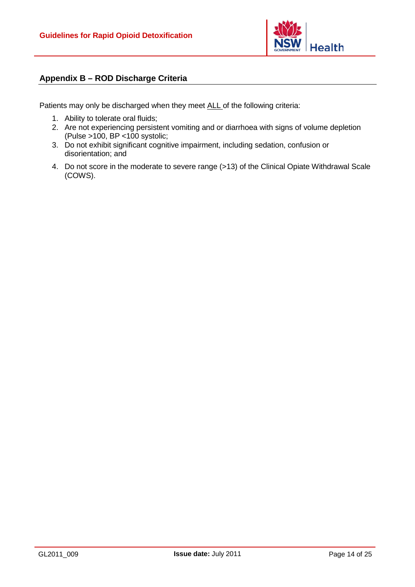

#### <span id="page-18-0"></span>**Appendix B – ROD Discharge Criteria**

Patients may only be discharged when they meet ALL of the following criteria:

- 1. Ability to tolerate oral fluids;
- 2. Are not experiencing persistent vomiting and or diarrhoea with signs of volume depletion (Pulse >100, BP <100 systolic;
- 3. Do not exhibit significant cognitive impairment, including sedation, confusion or disorientation; and
- 4. Do not score in the moderate to severe range (>13) of the Clinical Opiate Withdrawal Scale (COWS).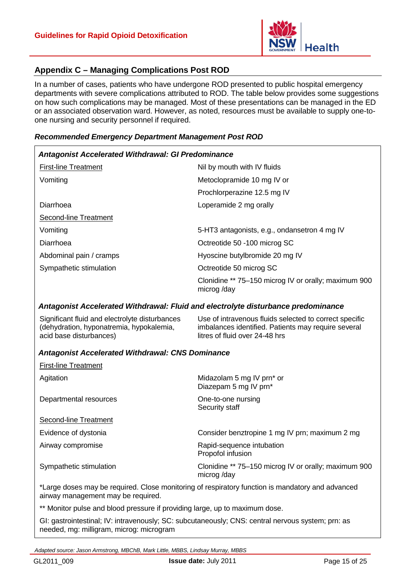

#### <span id="page-19-0"></span>**Appendix C – Managing Complications Post ROD**

In a number of cases, patients who have undergone ROD presented to public hospital emergency departments with severe complications attributed to ROD. The table below provides some suggestions on how such complications may be managed. Most of these presentations can be managed in the ED or an associated observation ward. However, as noted, resources must be available to supply one-toone nursing and security personnel if required.

#### *Recommended Emergency Department Management Post ROD*

| Antagonist Accelerated Withdrawal: GI Predominance |                                                                    |
|----------------------------------------------------|--------------------------------------------------------------------|
| <b>First-line Treatment</b>                        | Nil by mouth with IV fluids                                        |
| Vomiting                                           | Metoclopramide 10 mg IV or                                         |
|                                                    | Prochlorperazine 12.5 mg IV                                        |
| Diarrhoea                                          | Loperamide 2 mg orally                                             |
| Second-line Treatment                              |                                                                    |
| Vomiting                                           | 5-HT3 antagonists, e.g., ondansetron 4 mg IV                       |
| Diarrhoea                                          | Octreotide 50 -100 microg SC                                       |
| Abdominal pain / cramps                            | Hyoscine butylbromide 20 mg IV                                     |
| Sympathetic stimulation                            | Octreotide 50 microg SC                                            |
|                                                    | Clonidine ** 75-150 microg IV or orally; maximum 900<br>microg/day |

#### *Antagonist Accelerated Withdrawal: Fluid and electrolyte disturbance predominance*

| Significant fluid and electrolyte disturbances | Use of intravenous fluids selected to correct specific |
|------------------------------------------------|--------------------------------------------------------|
| (dehydration, hyponatremia, hypokalemia,       | imbalances identified. Patients may require several    |
| acid base disturbances)                        | litres of fluid over 24-48 hrs                         |

#### *Antagonist Accelerated Withdrawal: CNS Dominance*

| <b>First-line Treatment</b>                                                                                                            |                                                                    |
|----------------------------------------------------------------------------------------------------------------------------------------|--------------------------------------------------------------------|
| Agitation                                                                                                                              | Midazolam 5 mg IV prn* or<br>Diazepam 5 mg IV prn*                 |
| Departmental resources                                                                                                                 | One-to-one nursing<br>Security staff                               |
| Second-line Treatment                                                                                                                  |                                                                    |
| Evidence of dystonia                                                                                                                   | Consider benztropine 1 mg IV prn; maximum 2 mg                     |
| Airway compromise                                                                                                                      | Rapid-sequence intubation<br>Propofol infusion                     |
| Sympathetic stimulation                                                                                                                | Clonidine ** 75–150 microg IV or orally; maximum 900<br>microg/day |
| *Large doses may be required. Close monitoring of respiratory function is mandatory and advanced<br>airway management may be required. |                                                                    |

\*\* Monitor pulse and blood pressure if providing large, up to maximum dose.

GI: gastrointestinal; IV: intravenously; SC: subcutaneously; CNS: central nervous system; prn: as needed, mg: milligram, microg: microgram

*Adapted source: Jason Armstrong, MBChB, Mark Little, MBBS, Lindsay Murray, MBBS*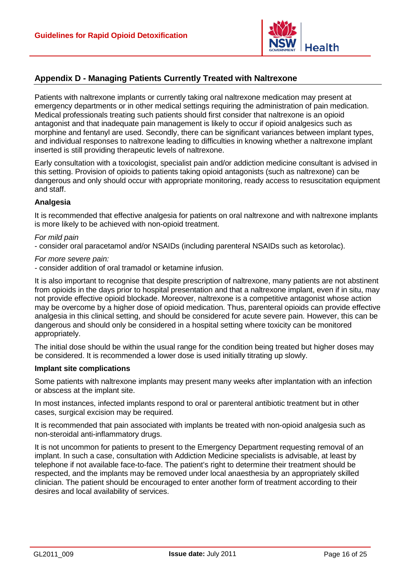

#### <span id="page-20-0"></span>**Appendix D - Managing Patients Currently Treated with Naltrexone**

Patients with naltrexone implants or currently taking oral naltrexone medication may present at emergency departments or in other medical settings requiring the administration of pain medication. Medical professionals treating such patients should first consider that naltrexone is an opioid antagonist and that inadequate pain management is likely to occur if opioid analgesics such as morphine and fentanyl are used. Secondly, there can be significant variances between implant types, and individual responses to naltrexone leading to difficulties in knowing whether a naltrexone implant inserted is still providing therapeutic levels of naltrexone.

Early consultation with a toxicologist, specialist pain and/or addiction medicine consultant is advised in this setting. Provision of opioids to patients taking opioid antagonists (such as naltrexone) can be dangerous and only should occur with appropriate monitoring, ready access to resuscitation equipment and staff.

#### **Analgesia**

It is recommended that effective analgesia for patients on oral naltrexone and with naltrexone implants is more likely to be achieved with non-opioid treatment.

#### *For mild pain*

- consider oral paracetamol and/or NSAIDs (including parenteral NSAIDs such as ketorolac).

#### *For more severe pain:*

- consider addition of oral tramadol or ketamine infusion.

It is also important to recognise that despite prescription of naltrexone, many patients are not abstinent from opioids in the days prior to hospital presentation and that a naltrexone implant, even if in situ, may not provide effective opioid blockade. Moreover, naltrexone is a competitive antagonist whose action may be overcome by a higher dose of opioid medication. Thus, parenteral opioids can provide effective analgesia in this clinical setting, and should be considered for acute severe pain. However, this can be dangerous and should only be considered in a hospital setting where toxicity can be monitored appropriately.

The initial dose should be within the usual range for the condition being treated but higher doses may be considered. It is recommended a lower dose is used initially titrating up slowly.

#### **Implant site complications**

Some patients with naltrexone implants may present many weeks after implantation with an infection or abscess at the implant site.

In most instances, infected implants respond to oral or parenteral antibiotic treatment but in other cases, surgical excision may be required.

It is recommended that pain associated with implants be treated with non-opioid analgesia such as non-steroidal anti-inflammatory drugs.

It is not uncommon for patients to present to the Emergency Department requesting removal of an implant. In such a case, consultation with Addiction Medicine specialists is advisable, at least by telephone if not available face-to-face. The patient's right to determine their treatment should be respected, and the implants may be removed under local anaesthesia by an appropriately skilled clinician. The patient should be encouraged to enter another form of treatment according to their desires and local availability of services.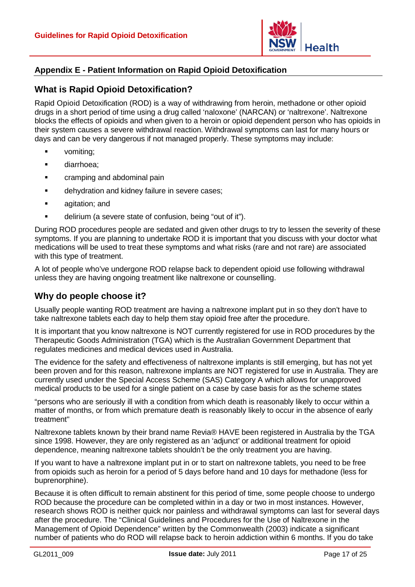

#### <span id="page-21-0"></span>**Appendix E - Patient Information on Rapid Opioid Detoxification**

#### **What is Rapid Opioid Detoxification?**

Rapid Opioid Detoxification (ROD) is a way of withdrawing from heroin, methadone or other opioid drugs in a short period of time using a drug called 'naloxone' (NARCAN) or 'naltrexone'. Naltrexone blocks the effects of opioids and when given to a heroin or opioid dependent person who has opioids in their system causes a severe withdrawal reaction. Withdrawal symptoms can last for many hours or days and can be very dangerous if not managed properly. These symptoms may include:

- vomiting;
- diarrhoea;
- **•** cramping and abdominal pain
- **dehydration and kidney failure in severe cases;**
- **agitation; and**
- delirium (a severe state of confusion, being "out of it").

During ROD procedures people are sedated and given other drugs to try to lessen the severity of these symptoms. If you are planning to undertake ROD it is important that you discuss with your doctor what medications will be used to treat these symptoms and what risks (rare and not rare) are associated with this type of treatment.

A lot of people who've undergone ROD relapse back to dependent opioid use following withdrawal unless they are having ongoing treatment like naltrexone or counselling.

#### **Why do people choose it?**

Usually people wanting ROD treatment are having a naltrexone implant put in so they don't have to take naltrexone tablets each day to help them stay opioid free after the procedure.

It is important that you know naltrexone is NOT currently registered for use in ROD procedures by the Therapeutic Goods Administration (TGA) which is the Australian Government Department that regulates medicines and medical devices used in Australia.

The evidence for the safety and effectiveness of naltrexone implants is still emerging, but has not yet been proven and for this reason, naltrexone implants are NOT registered for use in Australia. They are currently used under the Special Access Scheme (SAS) Category A which allows for unapproved medical products to be used for a single patient on a case by case basis for as the scheme states

"persons who are seriously ill with a condition from which death is reasonably likely to occur within a matter of months, or from which premature death is reasonably likely to occur in the absence of early treatment"

Naltrexone tablets known by their brand name Revia® HAVE been registered in Australia by the TGA since 1998. However, they are only registered as an 'adjunct' or additional treatment for opioid dependence, meaning naltrexone tablets shouldn't be the only treatment you are having.

If you want to have a naltrexone implant put in or to start on naltrexone tablets, you need to be free from opioids such as heroin for a period of 5 days before hand and 10 days for methadone (less for buprenorphine).

Because it is often difficult to remain abstinent for this period of time, some people choose to undergo ROD because the procedure can be completed within in a day or two in most instances. However, research shows ROD is neither quick nor painless and withdrawal symptoms can last for several days after the procedure. The "Clinical Guidelines and Procedures for the Use of Naltrexone in the Management of Opioid Dependence" written by the Commonwealth (2003) indicate a significant number of patients who do ROD will relapse back to heroin addiction within 6 months. If you do take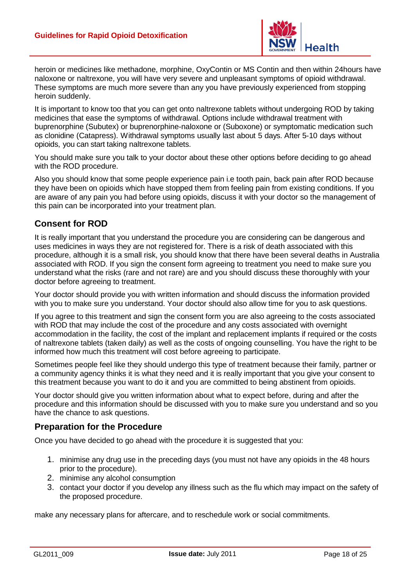

heroin or medicines like methadone, morphine, OxyContin or MS Contin and then within 24hours have naloxone or naltrexone, you will have very severe and unpleasant symptoms of opioid withdrawal. These symptoms are much more severe than any you have previously experienced from stopping heroin suddenly.

It is important to know too that you can get onto naltrexone tablets without undergoing ROD by taking medicines that ease the symptoms of withdrawal. Options include withdrawal treatment with buprenorphine (Subutex) or buprenorphine-naloxone or (Suboxone) or symptomatic medication such as clonidine (Catapress). Withdrawal symptoms usually last about 5 days. After 5-10 days without opioids, you can start taking naltrexone tablets.

You should make sure you talk to your doctor about these other options before deciding to go ahead with the ROD procedure.

Also you should know that some people experience pain i.e tooth pain, back pain after ROD because they have been on opioids which have stopped them from feeling pain from existing conditions. If you are aware of any pain you had before using opioids, discuss it with your doctor so the management of this pain can be incorporated into your treatment plan.

#### **Consent for ROD**

It is really important that you understand the procedure you are considering can be dangerous and uses medicines in ways they are not registered for. There is a risk of death associated with this procedure, although it is a small risk, you should know that there have been several deaths in Australia associated with ROD. If you sign the consent form agreeing to treatment you need to make sure you understand what the risks (rare and not rare) are and you should discuss these thoroughly with your doctor before agreeing to treatment.

Your doctor should provide you with written information and should discuss the information provided with you to make sure you understand. Your doctor should also allow time for you to ask questions.

If you agree to this treatment and sign the consent form you are also agreeing to the costs associated with ROD that may include the cost of the procedure and any costs associated with overnight accommodation in the facility, the cost of the implant and replacement implants if required or the costs of naltrexone tablets (taken daily) as well as the costs of ongoing counselling. You have the right to be informed how much this treatment will cost before agreeing to participate.

Sometimes people feel like they should undergo this type of treatment because their family, partner or a community agency thinks it is what they need and it is really important that you give your consent to this treatment because you want to do it and you are committed to being abstinent from opioids.

Your doctor should give you written information about what to expect before, during and after the procedure and this information should be discussed with you to make sure you understand and so you have the chance to ask questions.

#### **Preparation for the Procedure**

Once you have decided to go ahead with the procedure it is suggested that you:

- 1. minimise any drug use in the preceding days (you must not have any opioids in the 48 hours prior to the procedure).
- 2. minimise any alcohol consumption
- 3. contact your doctor if you develop any illness such as the flu which may impact on the safety of the proposed procedure.

make any necessary plans for aftercare, and to reschedule work or social commitments.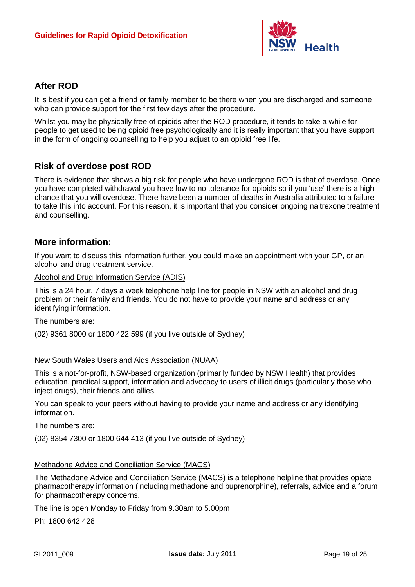

#### **After ROD**

It is best if you can get a friend or family member to be there when you are discharged and someone who can provide support for the first few days after the procedure.

Whilst you may be physically free of opioids after the ROD procedure, it tends to take a while for people to get used to being opioid free psychologically and it is really important that you have support in the form of ongoing counselling to help you adjust to an opioid free life.

#### **Risk of overdose post ROD**

There is evidence that shows a big risk for people who have undergone ROD is that of overdose. Once you have completed withdrawal you have low to no tolerance for opioids so if you 'use' there is a high chance that you will overdose. There have been a number of deaths in Australia attributed to a failure to take this into account. For this reason, it is important that you consider ongoing naltrexone treatment and counselling.

#### **More information:**

If you want to discuss this information further, you could make an appointment with your GP, or an alcohol and drug treatment service.

#### Alcohol and Drug Information Service (ADIS)

This is a 24 hour, 7 days a week telephone help line for people in NSW with an alcohol and drug problem or their family and friends. You do not have to provide your name and address or any identifying information.

The numbers are:

(02) 9361 8000 or 1800 422 599 (if you live outside of Sydney)

#### New South Wales Users and Aids Association (NUAA)

This is a not-for-profit, NSW-based organization (primarily funded by NSW Health) that provides education, practical support, information and advocacy to users of illicit drugs (particularly those who inject drugs), their friends and allies.

You can speak to your peers without having to provide your name and address or any identifying information.

The numbers are:

(02) 8354 7300 or 1800 644 413 (if you live outside of Sydney)

#### Methadone Advice and Conciliation Service (MACS)

The Methadone Advice and Conciliation Service (MACS) is a telephone helpline that provides opiate pharmacotherapy information (including methadone and buprenorphine), referrals, advice and a forum for pharmacotherapy concerns.

The line is open Monday to Friday from 9.30am to 5.00pm

Ph: 1800 642 428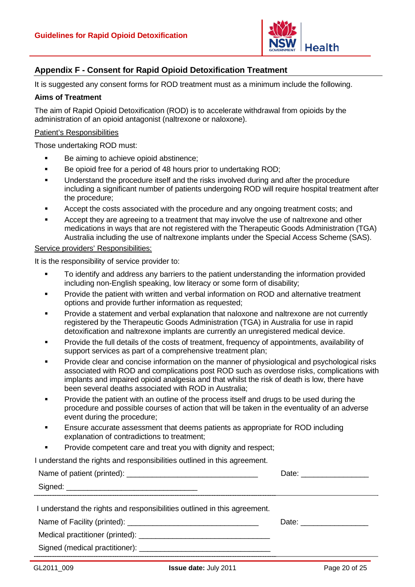

#### <span id="page-24-0"></span>**Appendix F - Consent for Rapid Opioid Detoxification Treatment**

It is suggested any consent forms for ROD treatment must as a minimum include the following.

#### **Aims of Treatment**

The aim of Rapid Opioid Detoxification (ROD) is to accelerate withdrawal from opioids by the administration of an opioid antagonist (naltrexone or naloxone).

#### Patient's Responsibilities

Those undertaking ROD must:

- Be aiming to achieve opioid abstinence;
- Be opioid free for a period of 48 hours prior to undertaking ROD;
- Understand the procedure itself and the risks involved during and after the procedure including a significant number of patients undergoing ROD will require hospital treatment after the procedure;
- Accept the costs associated with the procedure and any ongoing treatment costs; and
- Accept they are agreeing to a treatment that may involve the use of naltrexone and other medications in ways that are not registered with the Therapeutic Goods Administration (TGA) Australia including the use of naltrexone implants under the Special Access Scheme (SAS).

Service providers' Responsibilities:

It is the responsibility of service provider to:

- To identify and address any barriers to the patient understanding the information provided including non-English speaking, low literacy or some form of disability;
- Provide the patient with written and verbal information on ROD and alternative treatment options and provide further information as requested;
- Provide a statement and verbal explanation that naloxone and naltrexone are not currently registered by the Therapeutic Goods Administration (TGA) in Australia for use in rapid detoxification and naltrexone implants are currently an unregistered medical device.
- Provide the full details of the costs of treatment, frequency of appointments, availability of support services as part of a comprehensive treatment plan;
- Provide clear and concise information on the manner of physiological and psychological risks associated with ROD and complications post ROD such as overdose risks, complications with implants and impaired opioid analgesia and that whilst the risk of death is low, there have been several deaths associated with ROD in Australia;
- Provide the patient with an outline of the process itself and drugs to be used during the procedure and possible courses of action that will be taken in the eventuality of an adverse event during the procedure;
- Ensure accurate assessment that deems patients as appropriate for ROD including explanation of contradictions to treatment;
- Provide competent care and treat you with dignity and respect:

I understand the rights and responsibilities outlined in this agreement.

|                                                                          | Date: _______________ |
|--------------------------------------------------------------------------|-----------------------|
|                                                                          |                       |
| I understand the rights and responsibilities outlined in this agreement. |                       |
|                                                                          | Date: ____________    |
|                                                                          |                       |
|                                                                          |                       |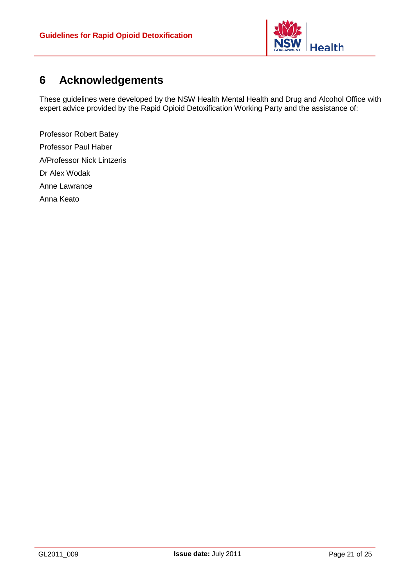

### <span id="page-25-0"></span>**6 Acknowledgements**

These guidelines were developed by the NSW Health Mental Health and Drug and Alcohol Office with expert advice provided by the Rapid Opioid Detoxification Working Party and the assistance of:

Professor Robert Batey Professor Paul Haber A/Professor Nick Lintzeris Dr Alex Wodak Anne Lawrance Anna Keato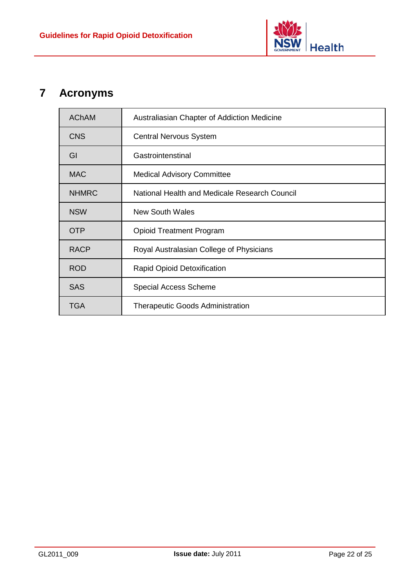

## <span id="page-26-0"></span>**7 Acronyms**

| <b>AChAM</b> | Australiasian Chapter of Addiction Medicine   |
|--------------|-----------------------------------------------|
| <b>CNS</b>   | <b>Central Nervous System</b>                 |
| GI           | Gastrointenstinal                             |
| <b>MAC</b>   | <b>Medical Advisory Committee</b>             |
| <b>NHMRC</b> | National Health and Medicale Research Council |
| <b>NSW</b>   | <b>New South Wales</b>                        |
| <b>OTP</b>   | <b>Opioid Treatment Program</b>               |
| <b>RACP</b>  | Royal Australasian College of Physicians      |
| <b>ROD</b>   | Rapid Opioid Detoxification                   |
| <b>SAS</b>   | <b>Special Access Scheme</b>                  |
| <b>TGA</b>   | <b>Therapeutic Goods Administration</b>       |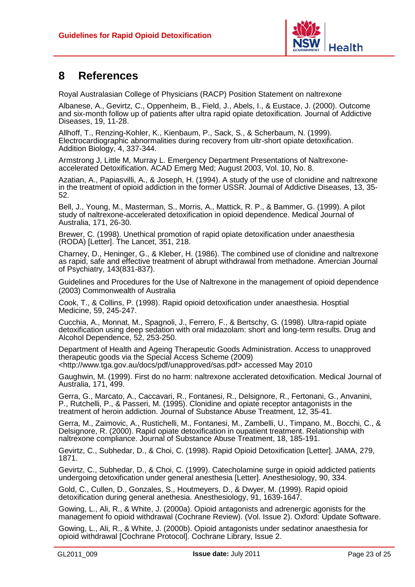

### <span id="page-27-0"></span>**8 References**

Royal Australasian College of Physicians (RACP) Position Statement on naltrexone

Albanese, A., Gevirtz, C., Oppenheim, B., Field, J., Abels, I., & Eustace, J. (2000). Outcome and six-month follow up of patients after ultra rapid opiate detoxification. Journal of Addictive Diseases, 19, 11-28.

Allhoff, T., Renzing-Kohler, K., Kienbaum, P., Sack, S., & Scherbaum, N. (1999). Electrocardiographic abnormalities during recovery from ultr-short opiate detoxification. Addition Biology, 4, 337-344.

Armstrong J, Little M, Murray L. Emergency Department Presentations of Naltrexoneaccelerated Detoxification. ACAD Emerg Med; August 2003, Vol. 10, No. 8.

Azatian, A., Papiasvilli, A., & Joseph, H. (1994). A study of the use of clonidine and naltrexone in the treatment of opioid addiction in the former USSR. Journal of Addictive Diseases, 13, 35- 52.

Bell, J., Young, M., Masterman, S., Morris, A., Mattick, R. P., & Bammer, G. (1999). A pilot study of naltrexone-accelerated detoxification in opioid dependence. Medical Journal of Australia, 171, 26-30.

Brewer, C. (1998). Unethical promotion of rapid opiate detoxification under anaesthesia (RODA) [Letter]. The Lancet, 351, 218.

Charney, D., Heninger, G., & Kleber, H. (1986). The combined use of clonidine and naltrexone as rapid, safe and effective treatment of abrupt withdrawal from methadone. Amercian Journal of Psychiatry, 143(831-837).

Guidelines and Procedures for the Use of Naltrexone in the management of opioid dependence (2003) Commonwealth of Australia

Cook, T., & Collins, P. (1998). Rapid opioid detoxification under anaesthesia. Hosptial Medicine, 59, 245-247.

Cucchia, A., Monnat, M., Spagnoli, J., Ferrero, F., & Bertschy, G. (1998). Ultra-rapid opiate detoxification using deep sedation with oral midazolam: short and long-term results. Drug and Alcohol Dependence, 52, 253-250.

Department of Health and Ageing Therapeutic Goods Administration. Access to unapproved therapeutic goods via the Special Access Scheme (2009) [<http://www.tga.gov.au/docs/pdf/unapproved/sas.pdf>](http://www.tga.gov.au/docs/pdf/unapproved/sas.pdf) accessed May 2010

Gaughwin, M. (1999). First do no harm: naltrexone acclerated detoxification. Medical Journal of Australia, 171, 499.

Gerra, G., Marcato, A., Caccavari, R., Fontanesi, R., Delsignore, R., Fertonani, G., Anvanini, P., Rutchelli, P., & Passeri, M. (1995). Clonidine and opiate receptor antagonists in the treatment of heroin addiction. Journal of Substance Abuse Treatment, 12, 35-41.

Gerra, M., Zaimovic, A., Rustichelli, M., Fontanesi, M., Zambelli, U., Timpano, M., Bocchi, C., & Delsignore, R. (2000). Rapid opiate detoxification in oupatient treatment. Relationship with naltrexone compliance. Journal of Substance Abuse Treatment, 18, 185-191.

Gevirtz, C., Subhedar, D., & Choi, C. (1998). Rapid Opioid Detoxification [Letter]. JAMA, 279, 1871.

Gevirtz, C., Subhedar, D., & Choi, C. (1999). Catecholamine surge in opioid addicted patients undergoing detoxification under general anesthesia [Letter]. Anesthesiology, 90, 334.

Gold, C., Cullen, D., Gonzales, S., Houtmeyers, D., & Dwyer, M. (1999). Rapid opioid detoxification during general anethesia. Anesthesiology, 91, 1639-1647.

Gowing, L., Ali, R., & White, J. (2000a). Opioid antagonists and adrenergic agonists for the management fo opioid withdrawal (Cochrane Review). (Vol. Issue 2). Oxford: Update Software.

Gowing, L., Ali, R., & White, J. (2000b). Opioid antagonists under sedatinor anaesthesia for opioid withdrawal [Cochrane Protocol]. Cochrane Library, Issue 2.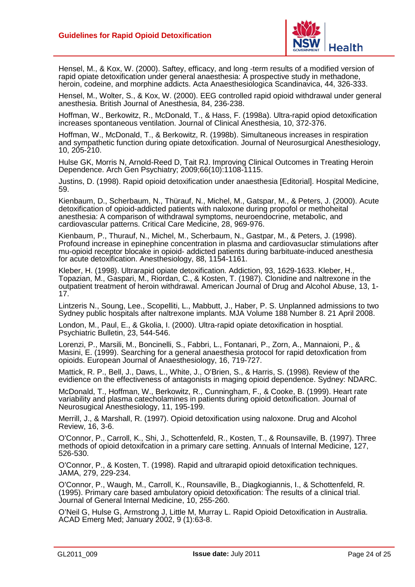

Hensel, M., & Kox, W. (2000). Saftey, efficacy, and long -term results of a modified version of rapid opiate detoxification under general anaesthesia: A prospective study in methadone, heroin, codeine, and morphine addicts. Acta Anaesthesiologica Scandinavica, 44, 326-333.

Hensel, M., Wolter, S., & Kox, W. (2000). EEG controlled rapid opioid withdrawal under general anesthesia. British Journal of Anesthesia, 84, 236-238.

Hoffman, W., Berkowitz, R., McDonald, T., & Hass, F. (1998a). Ultra-rapid opiod detoxification increases spontaneous ventilation. Journal of Clinical Anesthesia, 10, 372-376.

Hoffman, W., McDonald, T., & Berkowitz, R. (1998b). Simultaneous increases in respiration and sympathetic function during opiate detoxification. Journal of Neurosurgical Anesthesiology, 10, 205-210.

Hulse GK, Morris N, Arnold-Reed D, Tait RJ. Improving Clinical Outcomes in Treating Heroin Dependence. Arch Gen Psychiatry; 2009;66(10):1108-1115.

Justins, D. (1998). Rapid opioid detoxification under anaesthesia [Editorial]. Hospital Medicine, 59.

Kienbaum, D., Scherbaum, N., Thürauf, N., Michel, M., Gatspar, M., & Peters, J. (2000). Acute detoxification of opioid-addicted patients with naloxone during propofol or methoheital anesthesia: A comparison of withdrawal symptoms, neuroendocrine, metabolic, and cardiovascular patterns. Critical Care Medicine, 28, 969-976.

Kienbaum, P., Thurauf, N., Michel, M., Scherbaum, N., Gastpar, M., & Peters, J. (1998). Profound increase in epinephine concentration in plasma and cardiovasuclar stimulations after mu-opioid receptor blocake in opioid- addicted patients during barbituate-induced anesthesia for acute detoxification. Anesthesiology, 88, 1154-1161.

Kleber, H. (1998). Ultrarapid opiate detoxification. Addiction, 93, 1629-1633. Kleber, H., Topazian, M., Gaspari, M., Riordan, C., & Kosten, T. (1987). Clonidine and naltrexone in the outpatient treatment of heroin withdrawal. American Journal of Drug and Alcohol Abuse, 13, 1- 17.

Lintzeris N., Soung, Lee., Scopelliti, L., Mabbutt, J., Haber, P. S. Unplanned admissions to two Sydney public hospitals after naltrexone implants. MJA Volume 188 Number 8. 21 April 2008.

London, M., Paul, E., & Gkolia, I. (2000). Ultra-rapid opiate detoxification in hosptial. Psychiatric Bulletin, 23, 544-546.

Lorenzi, P., Marsili, M., Boncinelli, S., Fabbri, L., Fontanari, P., Zorn, A., Mannaioni, P., & Masini, E. (1999). Searching for a general anaesthesia protocol for rapid detoxfication from opioids. European Journal of Anaesthesiology, 16, 719-727.

Mattick, R. P., Bell, J., Daws, L., White, J., O'Brien, S., & Harris, S. (1998). Review of the evidience on the effectiveness of antagonists in maging opioid dependence. Sydney: NDARC.

McDonald, T., Hoffman, W., Berkowitz, R., Cunningham, F., & Cooke, B. (1999). Heart rate variability and plasma catecholamines in patients during opioid detoxification. Journal of Neurosugical Anesthesiology, 11, 195-199.

Merrill, J., & Marshall, R. (1997). Opioid detoxification using naloxone. Drug and Alcohol Review, 16, 3-6.

O'Connor, P., Carroll, K., Shi, J., Schottenfeld, R., Kosten, T., & Rounsaville, B. (1997). Three methods of opioid detoxifcation in a primary care setting. Annuals of Internal Medicine, 127, 526-530.

O'Connor, P., & Kosten, T. (1998). Rapid and ultrarapid opioid detoxification techniques. JAMA, 279, 229-234.

O'Connor, P., Waugh, M., Carroll, K., Rounsaville, B., Diagkogiannis, I., & Schottenfeld, R. (1995). Primary care based ambulatory opioid detoxification: The results of a clinical trial. Journal of General Internal Medicine, 10, 255-260.

O'Neil G, Hulse G, Armstrong J, Little M, Murray L. Rapid Opioid Detoxification in Australia. ACAD Emerg Med; January 2002, 9 (1):63-8.